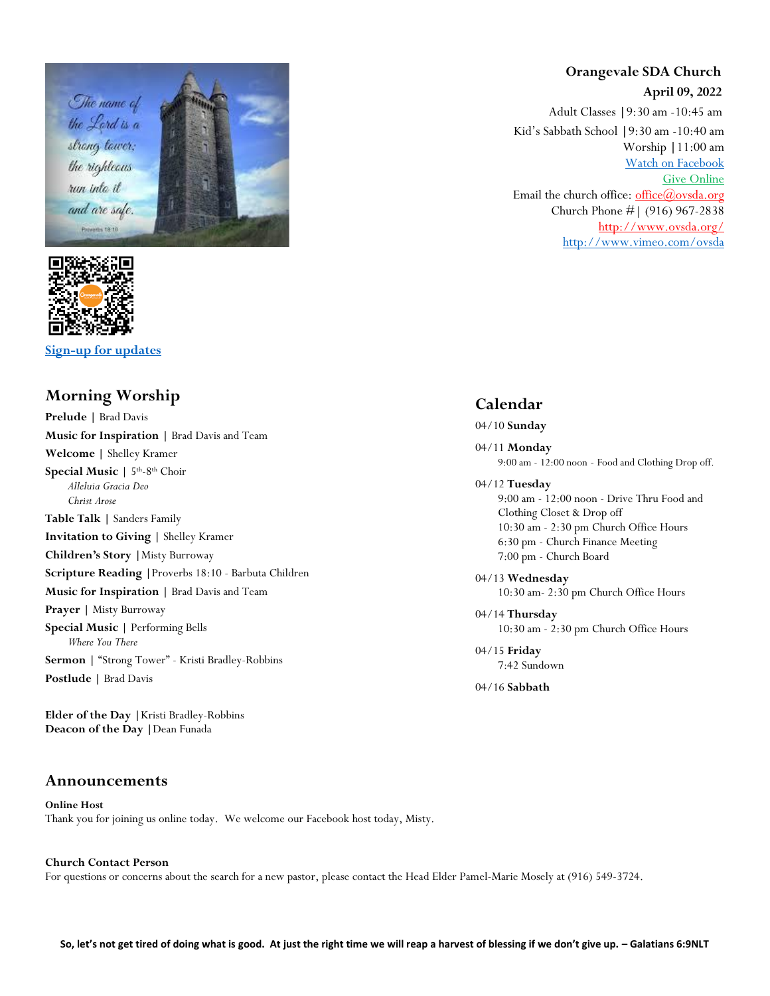



**[Sign-up for updates](https://app.textinchurch.com/groups/familyform/MzE0NDM)**

## **Morning Worship**

**Prelude |** Brad Davis **Music for Inspiration |** Brad Davis and Team **Welcome |** Shelley Kramer **Special Music | 5<sup>th</sup>-8<sup>th</sup> Choir** *Alleluia Gracia Deo Christ Arose* **Table Talk |** Sanders Family **Invitation to Giving |** Shelley Kramer **Children's Story |**Misty Burroway **Scripture Reading |**Proverbs 18:10 - Barbuta Children **Music for Inspiration |** Brad Davis and Team **Prayer |** Misty Burroway **Special Music |** Performing Bells *Where You There* **Sermon |** "Strong Tower" - Kristi Bradley-Robbins **Postlude |** Brad Davis

**Elder of the Day |**Kristi Bradley-Robbins **Deacon of the Day |**Dean Funada

### **Announcements**

**Online Host** Thank you for joining us online today. We welcome our Facebook host today, Misty.

## **Orangevale SDA Church April 09, 2022**

Adult Classes **|**9:30 am -10:45 am Kid's Sabbath School **|**9:30 am -10:40 am Worship **|**11:00 am [Watch on Facebook](https://www.facebook.com/OrangevaleSDAChurch) [Give Online](https://adventistgiving.org/#/org/ANPIK1/envelope/start) Email the church office: office $(\omega)$ ovsda.org Church Phone #| (916) 967-2838 <http://www.ovsda.org/> <http://www.vimeo.com/ovsda>

## **Calendar**

### 04/10 **Sunday**

04/11 **Monday** 9:00 am - 12:00 noon - Food and Clothing Drop off.

#### 04/12 **Tuesday**

9:00 am - 12:00 noon - Drive Thru Food and Clothing Closet & Drop off 10:30 am - 2:30 pm Church Office Hours 6:30 pm - Church Finance Meeting 7:00 pm - Church Board

04/13 **Wednesday** 10:30 am- 2:30 pm Church Office Hours

04/14 **Thursday** 10:30 am - 2:30 pm Church Office Hours

04/15 **Friday** 7:42 Sundown

04/16 **Sabbath**

#### **Church Contact Person** For questions or concerns about the search for a new pastor, please contact the Head Elder Pamel-Marie Mosely at (916) 549-3724.